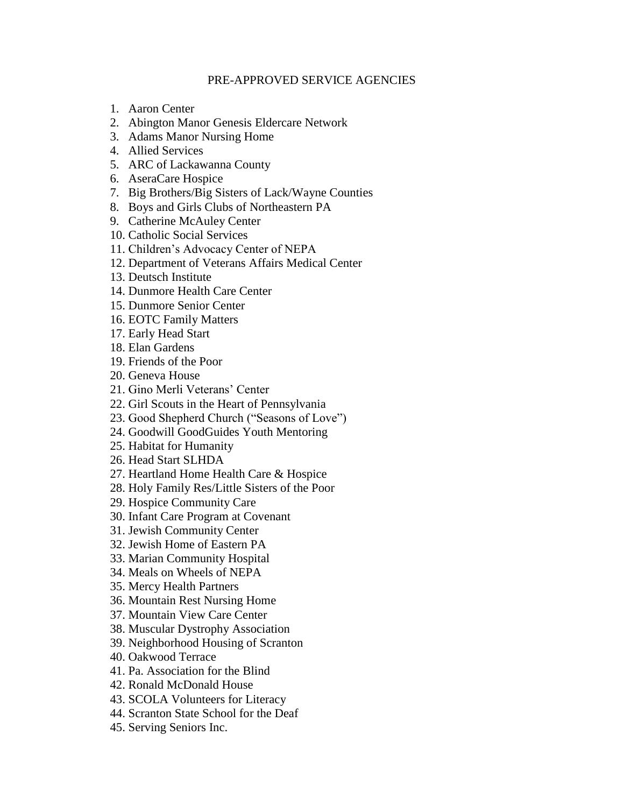## PRE-APPROVED SERVICE AGENCIES

- 1. Aaron Center
- 2. Abington Manor Genesis Eldercare Network
- 3. Adams Manor Nursing Home
- 4. Allied Services
- 5. ARC of Lackawanna County
- 6. AseraCare Hospice
- 7. Big Brothers/Big Sisters of Lack/Wayne Counties
- 8. Boys and Girls Clubs of Northeastern PA
- 9. Catherine McAuley Center
- 10. Catholic Social Services
- 11. Children's Advocacy Center of NEPA
- 12. Department of Veterans Affairs Medical Center
- 13. Deutsch Institute
- 14. Dunmore Health Care Center
- 15. Dunmore Senior Center
- 16. EOTC Family Matters
- 17. Early Head Start
- 18. Elan Gardens
- 19. Friends of the Poor
- 20. Geneva House
- 21. Gino Merli Veterans' Center
- 22. Girl Scouts in the Heart of Pennsylvania
- 23. Good Shepherd Church ("Seasons of Love")
- 24. Goodwill GoodGuides Youth Mentoring
- 25. Habitat for Humanity
- 26. Head Start SLHDA
- 27. Heartland Home Health Care & Hospice
- 28. Holy Family Res/Little Sisters of the Poor
- 29. Hospice Community Care
- 30. Infant Care Program at Covenant
- 31. Jewish Community Center
- 32. Jewish Home of Eastern PA
- 33. Marian Community Hospital
- 34. Meals on Wheels of NEPA
- 35. Mercy Health Partners
- 36. Mountain Rest Nursing Home
- 37. Mountain View Care Center
- 38. Muscular Dystrophy Association
- 39. Neighborhood Housing of Scranton
- 40. Oakwood Terrace
- 41. Pa. Association for the Blind
- 42. Ronald McDonald House
- 43. SCOLA Volunteers for Literacy
- 44. Scranton State School for the Deaf
- 45. Serving Seniors Inc.